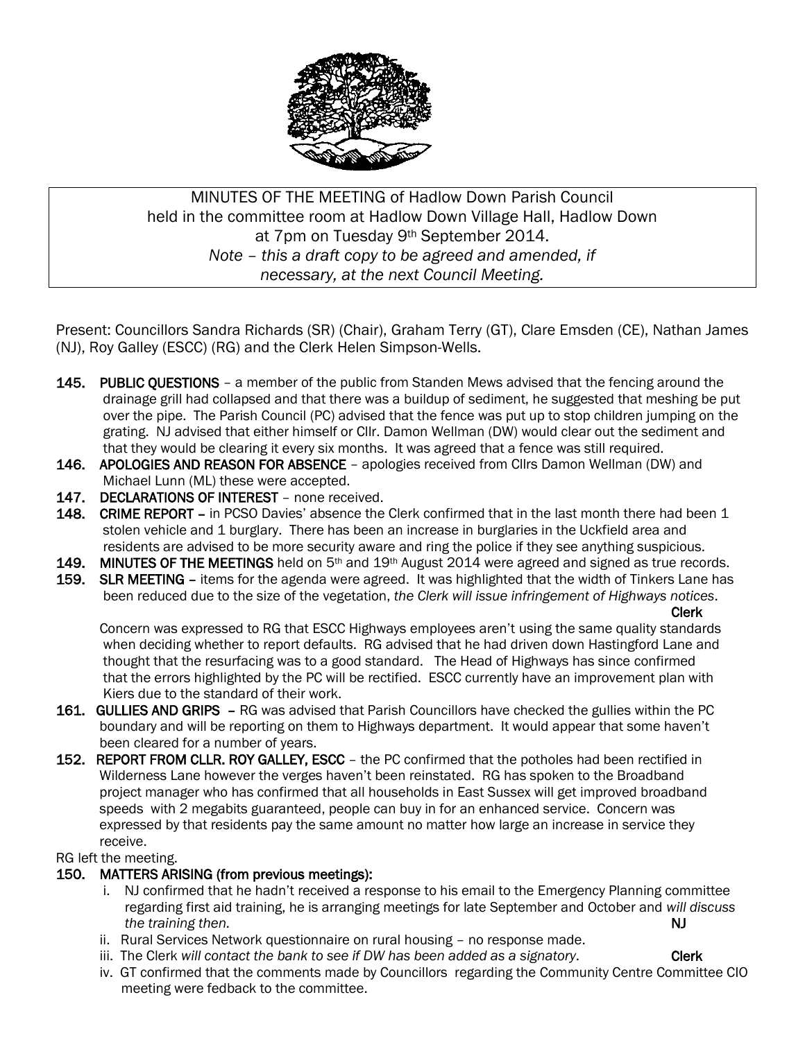

MINUTES OF THE MEETING of Hadlow Down Parish Council held in the committee room at Hadlow Down Village Hall, Hadlow Down at 7pm on Tuesday 9th September 2014. *Note – this a draft copy to be agreed and amended, if necessary, at the next Council Meeting.*

Present: Councillors Sandra Richards (SR) (Chair), Graham Terry (GT), Clare Emsden (CE), Nathan James (NJ), Roy Galley (ESCC) (RG) and the Clerk Helen Simpson-Wells.

- 145. PUBLIC QUESTIONS a member of the public from Standen Mews advised that the fencing around the drainage grill had collapsed and that there was a buildup of sediment, he suggested that meshing be put over the pipe. The Parish Council (PC) advised that the fence was put up to stop children jumping on the grating. NJ advised that either himself or Cllr. Damon Wellman (DW) would clear out the sediment and that they would be clearing it every six months. It was agreed that a fence was still required.
- 146. APOLOGIES AND REASON FOR ABSENCE apologies received from Cllrs Damon Wellman (DW) and Michael Lunn (ML) these were accepted.
- 147. DECLARATIONS OF INTEREST none received.
- 148. CRIME REPORT in PCSO Davies' absence the Clerk confirmed that in the last month there had been 1 stolen vehicle and 1 burglary. There has been an increase in burglaries in the Uckfield area and residents are advised to be more security aware and ring the police if they see anything suspicious.
- 149. MINUTES OF THE MEETINGS held on 5<sup>th</sup> and 19<sup>th</sup> August 2014 were agreed and signed as true records.
- 159. SLR MEETING items for the agenda were agreed. It was highlighted that the width of Tinkers Lane has been reduced due to the size of the vegetation, *the Clerk will issue infringement of Highways notices*.

Clerk

 Concern was expressed to RG that ESCC Highways employees aren't using the same quality standards when deciding whether to report defaults. RG advised that he had driven down Hastingford Lane and thought that the resurfacing was to a good standard. The Head of Highways has since confirmed that the errors highlighted by the PC will be rectified. ESCC currently have an improvement plan with Kiers due to the standard of their work.

- 161. GULLIES AND GRIPS RG was advised that Parish Councillors have checked the gullies within the PC boundary and will be reporting on them to Highways department. It would appear that some haven't been cleared for a number of years.
- 152. REPORT FROM CLLR. ROY GALLEY, ESCC the PC confirmed that the potholes had been rectified in Wilderness Lane however the verges haven't been reinstated. RG has spoken to the Broadband project manager who has confirmed that all households in East Sussex will get improved broadband speeds with 2 megabits guaranteed, people can buy in for an enhanced service. Concern was expressed by that residents pay the same amount no matter how large an increase in service they receive.

RG left the meeting.

### 150. MATTERS ARISING (from previous meetings):

- i. NJ confirmed that he hadn't received a response to his email to the Emergency Planning committee regarding first aid training, he is arranging meetings for late September and October and *will discuss the training then.* NJ
- ii. Rural Services Network questionnaire on rural housing no response made.
- iii. The Clerk will contact the bank to see if DW has been added as a signatory. Clerk
- iv. GT confirmed that the comments made by Councillors regarding the Community Centre Committee CIO meeting were fedback to the committee.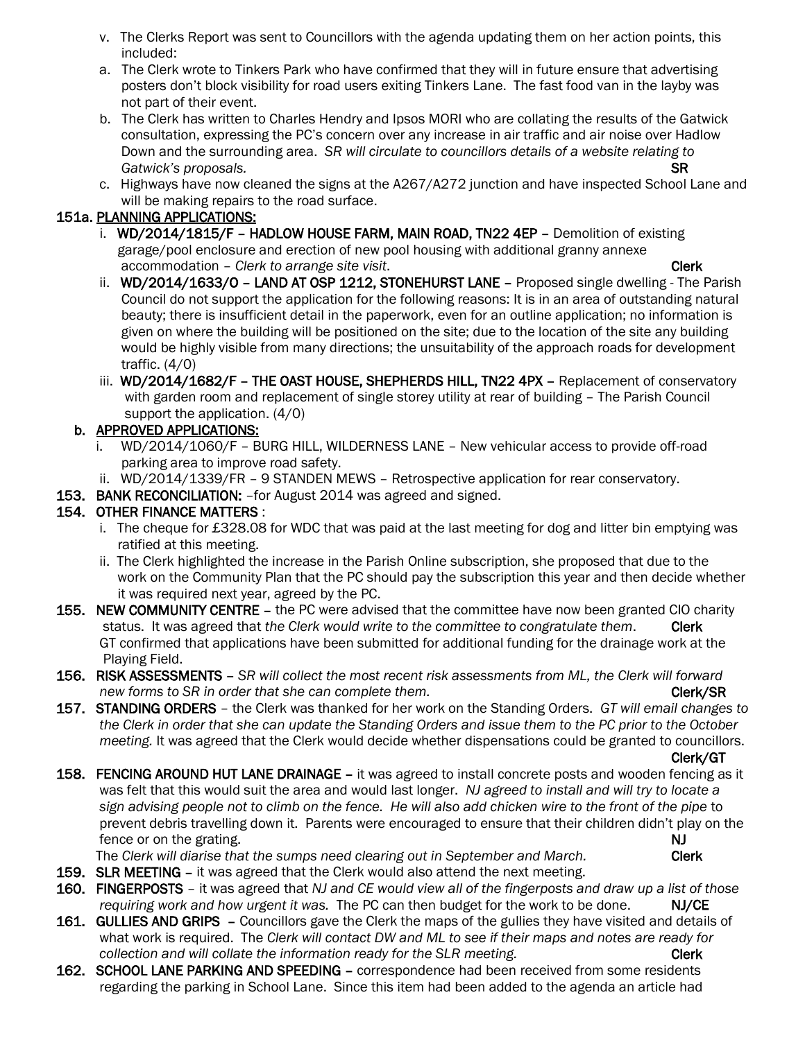- v. The Clerks Report was sent to Councillors with the agenda updating them on her action points, this included:
- a. The Clerk wrote to Tinkers Park who have confirmed that they will in future ensure that advertising posters don't block visibility for road users exiting Tinkers Lane. The fast food van in the layby was not part of their event.
- b. The Clerk has written to Charles Hendry and Ipsos MORI who are collating the results of the Gatwick consultation, expressing the PC's concern over any increase in air traffic and air noise over Hadlow Down and the surrounding area. *SR will circulate to councillors details of a website relating to Gatwick's proposals.* SR
- c. Highways have now cleaned the signs at the A267/A272 junction and have inspected School Lane and will be making repairs to the road surface.

# 151a. PLANNING APPLICATIONS:

- i. WD/2014/1815/F HADLOW HOUSE FARM, MAIN ROAD, TN22 4EP Demolition of existing garage/pool enclosure and erection of new pool housing with additional granny annexe accommodation – *Clerk to arrange site visit*. Clerk and the clerk of the clerk of the clerk
- ii. WD/2014/1633/O LAND AT OSP 1212, STONEHURST LANE Proposed single dwelling The Parish Council do not support the application for the following reasons: It is in an area of outstanding natural beauty; there is insufficient detail in the paperwork, even for an outline application; no information is given on where the building will be positioned on the site; due to the location of the site any building would be highly visible from many directions; the unsuitability of the approach roads for development traffic. (4/0)
- iii. WD/2014/1682/F THE OAST HOUSE, SHEPHERDS HILL, TN22 4PX Replacement of conservatory with garden room and replacement of single storey utility at rear of building - The Parish Council support the application. (4/0)

### b. APPROVED APPLICATIONS:

- i. WD/2014/1060/F BURG HILL, WILDERNESS LANE New vehicular access to provide off-road parking area to improve road safety.
- ii. WD/2014/1339/FR 9 STANDEN MEWS Retrospective application for rear conservatory.
- 153. BANK RECONCILIATION: for August 2014 was agreed and signed.

## 154. OTHER FINANCE MATTERS :

- i. The cheque for £328.08 for WDC that was paid at the last meeting for dog and litter bin emptying was ratified at this meeting.
- ii. The Clerk highlighted the increase in the Parish Online subscription, she proposed that due to the work on the Community Plan that the PC should pay the subscription this year and then decide whether it was required next year, agreed by the PC.
- 155. NEW COMMUNITY CENTRE the PC were advised that the committee have now been granted CIO charity status. It was agreed that *the Clerk would write to the committee to congratulate them.* Clerk GT confirmed that applications have been submitted for additional funding for the drainage work at the Playing Field.
- 156. RISK ASSESSMENTS *SR will collect the most recent risk assessments from ML, the Clerk will forward new forms to SR in order that she can complete them.* The completion of the complete them.
- 157. STANDING ORDERS the Clerk was thanked for her work on the Standing Orders. *GT will email changes to the Clerk in order that she can update the Standing Orders and issue them to the PC prior to the October meeting.* It was agreed that the Clerk would decide whether dispensations could be granted to councillors.

Clerk/GT

158. FENCING AROUND HUT LANE DRAINAGE – it was agreed to install concrete posts and wooden fencing as it was felt that this would suit the area and would last longer. *NJ agreed to install and will try to locate a sign advising people not to climb on the fence. He will also add chicken wire to the front of the pipe* to prevent debris travelling down it. Parents were encouraged to ensure that their children didn't play on the fence or on the grating. NJ

The *Clerk will diarise that the sumps need clearing out in September and March.* Clerk

- 159. SLR MEETING it was agreed that the Clerk would also attend the next meeting.
- 160. FINGERPOSTS it was agreed that *NJ and CE would view all of the fingerposts and draw up a list of those requiring work and how urgent it was.* The PC can then budget for the work to be done. NJ/CE
- 161. GULLIES AND GRIPS Councillors gave the Clerk the maps of the gullies they have visited and details of what work is required. The *Clerk will contact DW and ML to see if their maps and notes are ready for collection and will collate the information ready for the SLR meeting.* Clerk **Clerk**
- 162. SCHOOL LANE PARKING AND SPEEDING correspondence had been received from some residents regarding the parking in School Lane. Since this item had been added to the agenda an article had